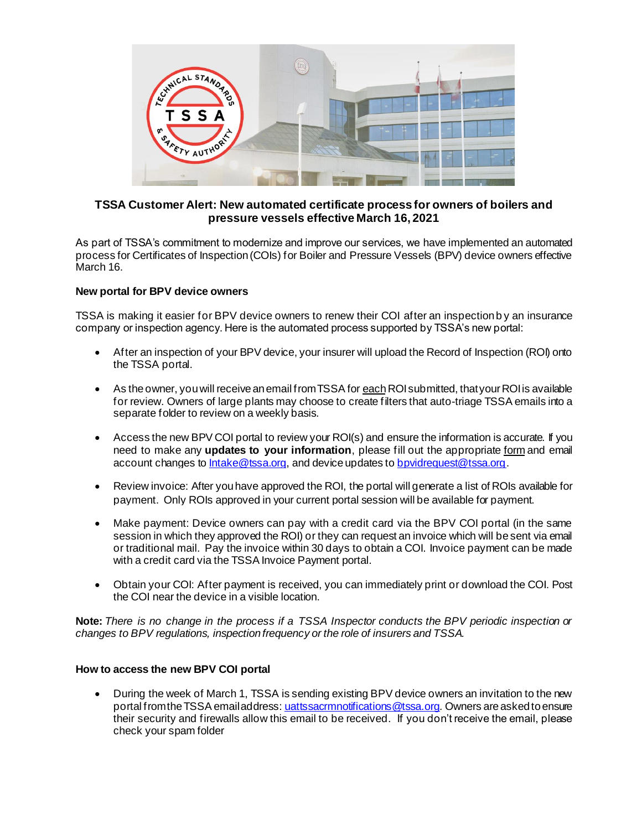

## **TSSA Customer Alert: New automated certificate process for owners of boilers and pressure vessels effective March 16, 2021**

As part of TSSA's commitment to modernize and improve our services, we have implemented an automated process for Certificates of Inspection (COIs) for Boiler and Pressure Vessels (BPV) device owners effective March 16.

## **New portal for BPV device owners**

TSSA is making it easier for BPV device owners to renew their COI after an inspection b y an insurance company or inspection agency. Here is the automated process supported by TSSA's new portal:

- After an inspection of your BPV device, your insurer will upload the Record of Inspection (ROI) onto the TSSA portal.
- $\bullet$  As the owner, you will receive an email from TSSA for each ROI submitted, that your ROI is available for review. Owners of large plants may choose to create filters that auto-triage TSSA emails into a separate folder to review on a weekly basis.
- Access the new BPV COI portal to review your ROI(s) and ensure the information is accurate. If you need to make any **updates to your information**, please fill out the appropriate [form](https://www.tssa.org/en/boilers-pressure-vessels/applications-forms-and-fees.aspx) and email account changes to [Intake@tssa.org](mailto:Intake@tssa.org), and device updates to [bpvidrequest@tssa.org](mailto:bpvidrequest@tssa.org).
- Review invoice: After you have approved the ROI, the portal will generate a list of ROIs available for payment. Only ROIs approved in your current portal session will be available for payment.
- Make payment: Device owners can pay with a credit card via the BPV COI portal (in the same session in which they approved the ROI) or they can request an invoice which will be sent via email or traditional mail. Pay the invoice within 30 days to obtain a COI. Invoice payment can be made with a credit card via the TSSA Invoice Payment portal.
- Obtain your COI: After payment is received, you can immediately print or download the COI. Post the COI near the device in a visible location.

**Note:** *There is no change in the process if a TSSA Inspector conducts the BPV periodic inspection or changes to BPV regulations, inspection frequency or the role of insurers and TSSA.*

## **How to access the new BPV COI portal**

• During the week of March 1, TSSA is sending existing BPV device owners an invitation to the new portal from the TSSA email address: [uattssacrmnotifications@tssa.org](mailto:uattssacrmnotifications@tssa.org)*.* Owners are asked to ensure their security and firewalls allow this email to be received. If you don't receive the email, please check your spam folder